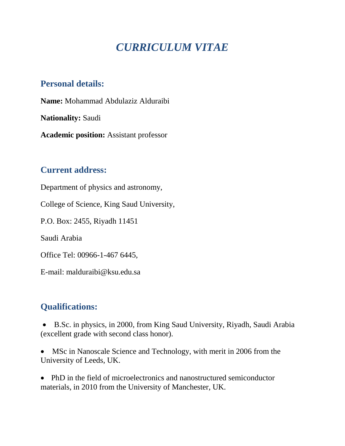# *CURRICULUM VITAE*

## **Personal details:**

**Name:** Mohammad Abdulaziz Alduraibi

**Nationality:** Saudi

**Academic position:** Assistant professor

### **Current address:**

Department of physics and astronomy,

College of Science, King Saud University,

P.O. Box: 2455, Riyadh 11451

Saudi Arabia

Office Tel: 00966-1-467 6445,

E-mail: malduraibi@ksu.edu.sa

## **Qualifications:**

 B.Sc. in physics, in 2000, from King Saud University, Riyadh, Saudi Arabia (excellent grade with second class honor).

• MSc in Nanoscale Science and Technology, with merit in 2006 from the University of Leeds, UK.

• PhD in the field of microelectronics and nanostructured semiconductor materials, in 2010 from the University of Manchester, UK.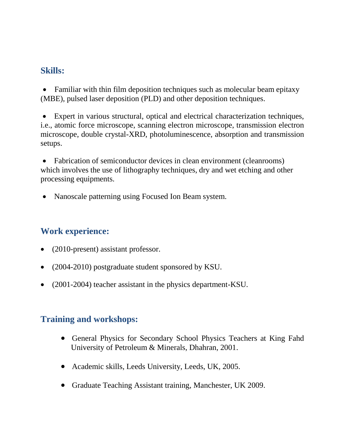#### **Skills:**

• Familiar with thin film deposition techniques such as molecular beam epitaxy (MBE), pulsed laser deposition (PLD) and other deposition techniques.

 Expert in various structural, optical and electrical characterization techniques, i.e., atomic force microscope, scanning electron microscope, transmission electron microscope, double crystal-XRD, photoluminescence, absorption and transmission setups.

 Fabrication of semiconductor devices in clean environment (cleanrooms) which involves the use of lithography techniques, dry and wet etching and other processing equipments.

• Nanoscale patterning using Focused Ion Beam system.

## **Work experience:**

- (2010-present) assistant professor.
- (2004-2010) postgraduate student sponsored by KSU.
- (2001-2004) teacher assistant in the physics department-KSU.

## **Training and workshops:**

- General Physics for Secondary School Physics Teachers at King Fahd University of Petroleum & Minerals, Dhahran, 2001.
- Academic skills, Leeds University, Leeds, UK, 2005.
- Graduate Teaching Assistant training, Manchester, UK 2009.